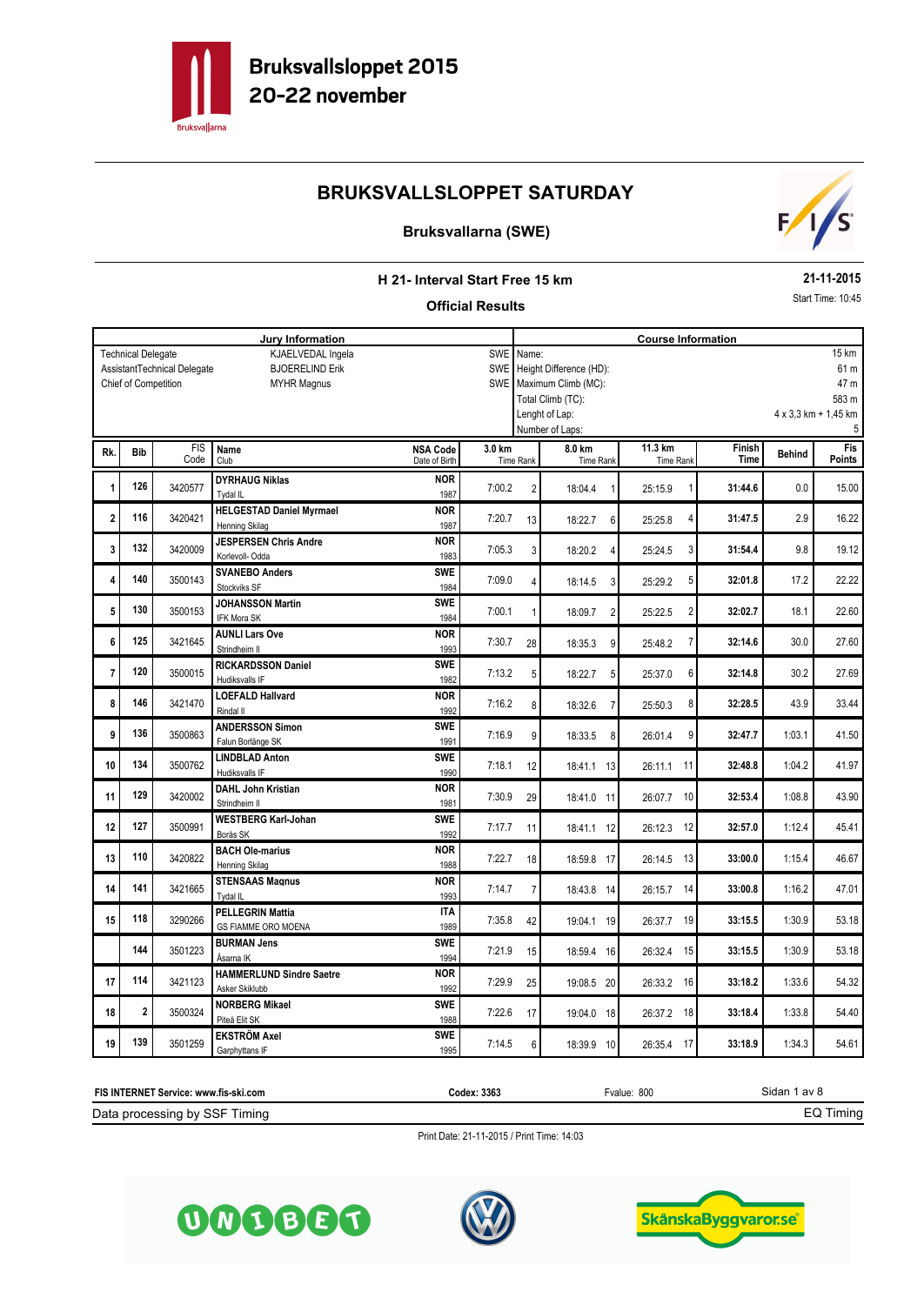

## **Bruksvallarna (SWE)**



### **H 21- Interval Start Free 15 km**

#### **Official Results**

**21-11-2015** Start Time: 10:45

|                | <b>Jury Information</b>   |                             |                                 |                                  |                             |                                 | <b>Course Information</b> |                             |                |               |                             |  |  |
|----------------|---------------------------|-----------------------------|---------------------------------|----------------------------------|-----------------------------|---------------------------------|---------------------------|-----------------------------|----------------|---------------|-----------------------------|--|--|
|                | <b>Technical Delegate</b> |                             | KJAELVEDAL Ingela               |                                  | SWE                         | 15 km<br>Name:                  |                           |                             |                |               |                             |  |  |
|                |                           | AssistantTechnical Delegate | <b>BJOERELIND Erik</b>          |                                  | SWE                         | Height Difference (HD):<br>61 m |                           |                             |                |               |                             |  |  |
|                | Chief of Competition      |                             | <b>MYHR Magnus</b>              | <b>SWE</b>                       | Maximum Climb (MC):<br>47 m |                                 |                           |                             |                |               |                             |  |  |
|                |                           |                             |                                 |                                  |                             |                                 | Total Climb (TC):         |                             |                |               | 583 m                       |  |  |
|                |                           |                             |                                 |                                  |                             |                                 | Lenght of Lap:            |                             |                |               | $4 \times 3.3$ km + 1.45 km |  |  |
|                |                           |                             |                                 |                                  |                             |                                 | Number of Laps:           |                             |                |               | 5                           |  |  |
|                |                           |                             |                                 |                                  |                             |                                 |                           |                             |                |               |                             |  |  |
| Rk.            | <b>Bib</b>                | <b>FIS</b><br>Code          | <b>Name</b><br>Club             | <b>NSA Code</b><br>Date of Birth | 3.0 km                      | <b>Time Rank</b>                | 8.0 km<br>Time Rank       | 11.3 km<br><b>Time Rank</b> | Finish<br>Time | <b>Behind</b> | <b>Fis</b><br><b>Points</b> |  |  |
|                |                           |                             |                                 |                                  |                             |                                 |                           |                             |                |               |                             |  |  |
| 1              | 126                       | 3420577                     | <b>DYRHAUG Niklas</b>           | <b>NOR</b>                       | 7:00.2                      | $\overline{2}$                  | 18:04.4                   | 25:15.9                     | 31:44.6        | 0.0           | 15.00                       |  |  |
|                |                           |                             | Tydal IL                        | 1987                             |                             |                                 |                           |                             |                |               |                             |  |  |
| $\overline{2}$ | 116                       | 3420421                     | <b>HELGESTAD Daniel Myrmael</b> | <b>NOR</b>                       | 7:20.7                      | 13                              | 18:22.7<br>6              | 25:25.8<br>4                | 31:47.5        | 2.9           | 16.22                       |  |  |
|                |                           |                             | Henning Skilag                  | 1987                             |                             |                                 |                           |                             |                |               |                             |  |  |
| 3              | 132                       | 3420009                     | <b>JESPERSEN Chris Andre</b>    | <b>NOR</b>                       | 7:05.3                      | 3                               | 18:20.2<br>4              | 3<br>25:24.5                | 31:54.4        | 9.8           | 19.12                       |  |  |
|                |                           |                             | Korlevoll- Odda                 | 1983                             |                             |                                 |                           |                             |                |               |                             |  |  |
| 4              | 140                       | 3500143                     | <b>SVANEBO Anders</b>           | <b>SWE</b>                       | 7:09.0                      | $\overline{4}$                  |                           | 25:29.2<br>5                | 32:01.8        | 17.2          | 22.22                       |  |  |
|                |                           |                             | Stockviks SF                    | 1984                             |                             |                                 | 18:14.5<br>3              |                             |                |               |                             |  |  |
| 5              | 130                       | 3500153                     | <b>JOHANSSON Martin</b>         | <b>SWE</b>                       |                             |                                 |                           |                             |                |               |                             |  |  |
|                |                           |                             | <b>IFK Mora SK</b>              | 1984                             | 7:00.1                      | 1                               | 18:09.7<br>$\overline{2}$ | 2<br>25:22.5                | 32:02.7        | 18.1          | 22.60                       |  |  |
|                |                           |                             | <b>AUNLI Lars Ove</b>           | <b>NOR</b>                       |                             |                                 |                           |                             |                |               |                             |  |  |
| 6              | 125                       | 3421645                     | Strindheim II                   | 1993                             | 7:30.7                      | 28                              | 18:35.3<br>9              | 25:48.2<br>7                | 32:14.6        | 30.0          | 27.60                       |  |  |
|                |                           |                             | <b>RICKARDSSON Daniel</b>       | <b>SWE</b>                       |                             |                                 |                           |                             |                |               |                             |  |  |
| $\overline{7}$ | 120                       | 3500015                     | Hudiksvalls IF                  | 1982                             | 7:13.2                      | 5                               | 18:22.7<br>5              | 6<br>25:37.0                | 32:14.8        | 30.2          | 27.69                       |  |  |
|                |                           |                             | <b>LOEFALD Hallvard</b>         | <b>NOR</b>                       |                             |                                 |                           |                             |                |               |                             |  |  |
| 8              | 146                       | 3421470                     | Rindal II                       | 1992                             | 7:16.2                      | 8                               | 18:32.6<br>$\overline{7}$ | 8<br>25:50.3                | 32:28.5        | 43.9          | 33.44                       |  |  |
|                |                           |                             | <b>ANDERSSON Simon</b>          | <b>SWE</b>                       |                             |                                 |                           |                             |                |               |                             |  |  |
| 9              | 136                       | 3500863                     | Falun Borlänge SK               | 1991                             | 7:16.9                      | 9                               | 18:33.5<br>8              | 9<br>26:01.4                | 32:47.7        | 1:03.1        | 41.50                       |  |  |
|                |                           |                             | <b>LINDBLAD Anton</b>           | <b>SWE</b>                       |                             |                                 |                           |                             |                |               |                             |  |  |
| 10             | 134                       | 3500762                     | Hudiksvalls IF                  | 1990                             | 7:18.1                      | 12                              | 18:41.1 13                | 11<br>26:11.1               | 32:48.8        | 1:04.2        | 41.97                       |  |  |
|                |                           |                             | <b>DAHL John Kristian</b>       | <b>NOR</b>                       |                             |                                 |                           |                             |                |               |                             |  |  |
| 11             | 129                       | 3420002                     | Strindheim II                   | 1981                             | 7:30.9                      | 29                              | 18:41.0 11                | 10<br>26:07.7               | 32:53.4        | 1:08.8        | 43.90                       |  |  |
|                |                           |                             | <b>WESTBERG Karl-Johan</b>      | <b>SWE</b>                       |                             |                                 |                           |                             |                |               |                             |  |  |
| 12             | 127                       | 3500991                     | Borås SK                        | 1992                             | 7:17.7                      | 11                              | 18:41.1 12                | 26:12.3<br>12               | 32:57.0        | 1:12.4        | 45.41                       |  |  |
|                |                           |                             | <b>BACH Ole-marius</b>          | <b>NOR</b>                       |                             |                                 |                           |                             |                |               |                             |  |  |
| 13             | 110                       | 3420822                     | Henning Skilag                  | 1988                             | 7:22.7                      | 18                              | 18:59.8 17                | 13<br>26:14.5               | 33:00.0        | 1:15.4        | 46.67                       |  |  |
|                |                           |                             | <b>STENSAAS Magnus</b>          | <b>NOR</b>                       |                             |                                 |                           |                             |                |               |                             |  |  |
| 14             | 141                       | 3421665                     | Tydal IL                        | 1993                             | 7:14.7                      | $\overline{7}$                  | 18:43.8 14                | 26:15.7<br>14               | 33:00.8        | 1:16.2        | 47.01                       |  |  |
|                |                           |                             | <b>PELLEGRIN Mattia</b>         |                                  |                             |                                 |                           |                             |                |               |                             |  |  |
| 15             | 118                       | 3290266                     |                                 | <b>ITA</b><br>1989               | 7:35.8                      | 42                              | 19:04.1 19                | 19<br>26:37.7               | 33:15.5        | 1:30.9        | 53.18                       |  |  |
|                |                           |                             | GS FIAMME ORO MOENA             | <b>SWE</b>                       |                             |                                 |                           |                             |                |               |                             |  |  |
|                | 144                       | 3501223                     | <b>BURMAN Jens</b>              |                                  | 7:21.9                      | 15                              | 18:59.4 16                | 15<br>26:32.4               | 33:15.5        | 1:30.9        | 53.18                       |  |  |
|                |                           |                             | Åsarna IK                       | 1994                             |                             |                                 |                           |                             |                |               |                             |  |  |
| 17             | 114                       | 3421123                     | <b>HAMMERLUND Sindre Saetre</b> | <b>NOR</b>                       | 7:29.9                      | 25                              | 19:08.5 20                | 16<br>26:33.2               | 33:18.2        | 1:33.6        | 54.32                       |  |  |
|                |                           |                             | Asker Skiklubb                  | 1992                             |                             |                                 |                           |                             |                |               |                             |  |  |
| 18             | $\overline{2}$            | 3500324                     | <b>NORBERG Mikael</b>           | <b>SWE</b>                       | 7:22.6                      | 17                              | 19:04.0 18                | 18<br>26:37.2               | 33:18.4        | 1:33.8        | 54.40                       |  |  |
|                |                           |                             | Piteå Elit SK                   | 1988                             |                             |                                 |                           |                             |                |               |                             |  |  |
| 19             | 139                       | 3501259                     | <b>EKSTRÖM Axel</b>             | <b>SWE</b>                       | 7:14.5                      | 6                               | 18:39.9 10                | 17<br>26:35.4               | 33:18.9        | 1:34.3        | 54.61                       |  |  |
|                |                           |                             | Garphyttans IF                  | 1995                             |                             |                                 |                           |                             |                |               |                             |  |  |







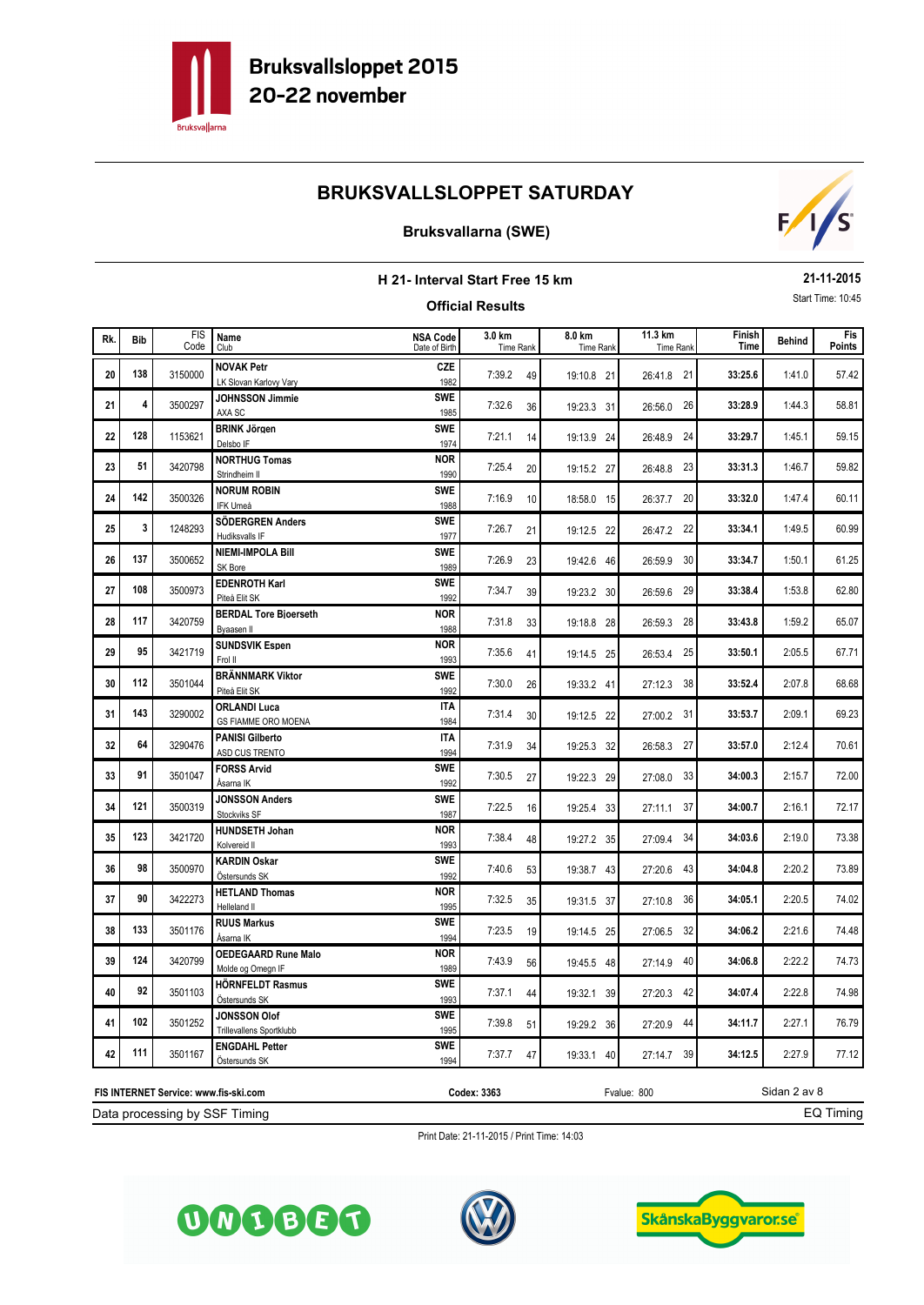

## **Bruksvallarna (SWE)**



#### **H 21- Interval Start Free 15 km Official Results 21-11-2015** Start Time: 10:45 **Behind B. Behind B. Behind B. Behind Example 11.3 km Finish Finish Behind Time** FIS Code Fis<br>Points Rk. Bib in the south and the subsequence of the subsequence of the subsequence of the subsequence of the subsequence of the subsequence of the subsequence of the subsequence of the subsequence of the subsequence of the sub Club Time Rank **Bib 3.0 km 8.0 km 11.3 km** Date of Birth Time Rank Time Rank Time Rank Time Rank **NSA Code** 20 138 3150000 NOVAK Petr 20 20 20 20 20 20 20 33:25.6 3150000 NOVAK Petr 20 20 20 20 20 33:25.6 31:41.0 33:25.6 **138 1380000 NOVAK Petr CZE 139.2** 49 **19:10.8 21** 26:41.8 21 21 4 3500297 JOHNSSON Jimmie **21** SWE 7:32.6 36 19:23.3 31 26:56.0 26 33:28.9 1:44.3 58.81 **4** 3500297 JOHNSSON Jimmie **SWE** 7:32.6 36 19:23.3 31 26:56.0 26 1:45.1 **BRINK Jörgen 22** <sup>1153621</sup> 7:21.1 14 **33:29.7** 59.15 **SWE <sup>128</sup>** 19:13.9 24 26:48.9 24 Delsbo IF <sup>1974</sup> 1:46.7 **NORTHUG Tomas 23** <sup>3420798</sup> 7:25.4 20 **33:31.3** 59.82 **51 1 NORTHUG Tomas NOR 1 19:15.2** 27 **26:48.8** 23 1:47.4 **NORUM ROBIN 24** <sup>3500326</sup> 7:16.9 10 **33:32.0** 60.11 **SWE 142** 3500326 **NORUM ROBIN**<br>1988 7:16.9 10 18:58.0 15 26:37.7 20 1:49.5 **SÖDERGREN Anders 25** <sup>1248293</sup> 7:26.7 21 **33:34.1** 60.99 **SWE 1248293 SÖDERGREN Anders SWE** 7:26.7 21 19:12.5 22 26:47.2 22 26 137 3500652 NIEMI-IMPOLA Bill **SWE** 7:26.9 23 19:42.6 46 26:59.9 30 33:34.7 1:50.1 61.25 **SWE 137 13800652 NIEMI-IMPOLA Bill**<br>1989 7:26.9 23 19:42.6 46 26:59.9 30 27 108 3500973 EDENROTH Karl **27** SWE 7:34.7 39 19:23.2 30 26:59.6 29 33:38.4 1:53.8 62.80 **108** 3500973 **EDENROTH Karl SWE** 7:34.7 39 19:23.2 30 26:59.6 29 **28** 117 3420759 **BERDAL Tore Bioerseth 28 NOR** 7:31.8 33 19:18.8 28 26:59.3 28 33:43.8 1:59.2 65.07 **117 1220759 BERDAL Tore Bioerseth NOR 131.8** 28 **19:18.8** 28 **26:59.3** 28 **19:18.8** 28 **26:59.3** 28 29 95 3421719 SUNDSVIK Espen **NOR** 7:35.6 41 19:14.5 25 26:53.4 25 33:50.1 2:05.5 67.71 **95 19:14.5 25 SUNDSVIK Espen 1993 1993 7:35.6 41 19:14.5 25 26:53.4 25 30** 112 3501044 **BRÄNNMARK Viktor SWE** 7:30.0 26 19:33.2 41 27:12.3 38 33:52.4 2:07.8 68.68 **SWE 112** 3501044 **BRÄNNMARK Viktor SWE** 7:30.0 26 19:33.2 41 27:12.3 38 31 **143** 3290002 **ORLANDI Luca CREANDI Luca ITA** 7:31.4 30 19:12.5 22 27:00.2 31 33:53.7 2:09.1 69.23 **143 143 143 143 143 143 158 158 143 143 143 19:12.5 12 19:12.5 22 127:00.2 31 22 64 2290476 PANISI Gilberto CONTRA 12:31.9 34 26:58.3 27 33:57.0 2:12.4 70.61 64 19:25.3 32 <b>PANISI Gilberto ITA** 7:31.9 34 19:25.3 32 26:58.3 27 **23** 31 3501047 **FORSS Arvid Example 2:15.7 SWE** 7:30.5 27 19:22.3 29 27:08.0 33 34:00.3 2:15.7 72.00 **91 501047 FORSS Arvid SWE 7:30.5** 27 **19:22.3** 29 **27:08.0** 33 **34 121 3500319 JONSSON Anders 3WE 2:22.5 16 19:25.4 33 27:11.1 37 34:00.7 2:16.1 72.17 2:17 SWE 121 121 121 121 121 121 131 121** Stockviks SF **181** Stockviks SF 19:25.4 33 **27:11.1 37 23** 3421720 **HUNDSETH Johan 3421720 HUNDSETH Johan** 35 **35** 35 34:03.4 48 34:03.6 34:03.6 34:03.6 34:03.6 34:03.6 **123 123 123** 127:09.4 34 **NOR** 1993 7:38.4 48 19:27.2 35 27:09.4 34 Kolvereid II 2:20.2 **KARDIN Oskar 36** <sup>3500970</sup> 7:40.6 53 **34:04.8** 73.89 **SWE <sup>98</sup>** 19:38.7 43 27:20.6 43 Östersunds SK <sup>1992</sup> **37 30 3422273 HETLAND Thomas 37 35 35 35 35 35 35 35 3710.8 36 34:05.1 2:20.5 34:05.1 2:20.5 34:05.1 90 19:3422273 HETLAND Thomas NOR 1995 7:32.5** 35 **19:31.5** 37 **27:10.8** 36 2:21.6 **RUUS Markus 38** <sup>3501176</sup> 7:23.5 19 **34:06.2** 74.48 **SWE** 133 3501176 **RUUS Markus 133 19:14.5** 25 27:06.5 32 2:22.2 **OEDEGAARD Rune Malo 39** <sup>3420799</sup> 7:43.9 56 **34:06.8** 74.73 **124 124 125 124 124 124 124 124 124 124 124 124 124 124 124 127:14.9 140 19:45.5 18 127:14.9 40 40 92** 3501103 **HÖRNFELDT Rasmus 1002 SWE** 7:37.1 44 19:32.1 39 27:20.3 42 34:07.4 2:22.8 74.98 **92** 3501103 **HÖRNFELDT Rasmus**<br>1993 7:37.1 44 19:32.1 39 27:20.3 42 2:27.1 **JONSSON Olof 41** <sup>3501252</sup> 7:39.8 51 **34:11.7** 76.79 **SWE** 102 3501252 **JONSSON Olof 102 SWE** 7:39.8 51 19:29.2 36 27:20.9 44 **42** 111 3501167 **ENGDAHL Petter EXECUTE:**<br> $\begin{bmatrix} 27.37.7 & 47 \\ 0.004 \end{bmatrix}$  7:37.7 47 19:33.1 40 27:14.7 39 34:12.5 2:27.9 77.12 **111 111 111 111 111 111 111 111 111 111 111 111 111 111 111 111 111 111 111 111 111 111 111 111 111 111 111 111 111 111 111 111 111 111 111 111 111**

Print Date: 21-11-2015 / Print Time: 14:03



Sidan 2 av 8

**Codex: 3363** Fvalue: 800



Data processing by SSF Timing **FIS INTERNET Service: www.fis-ski.com**



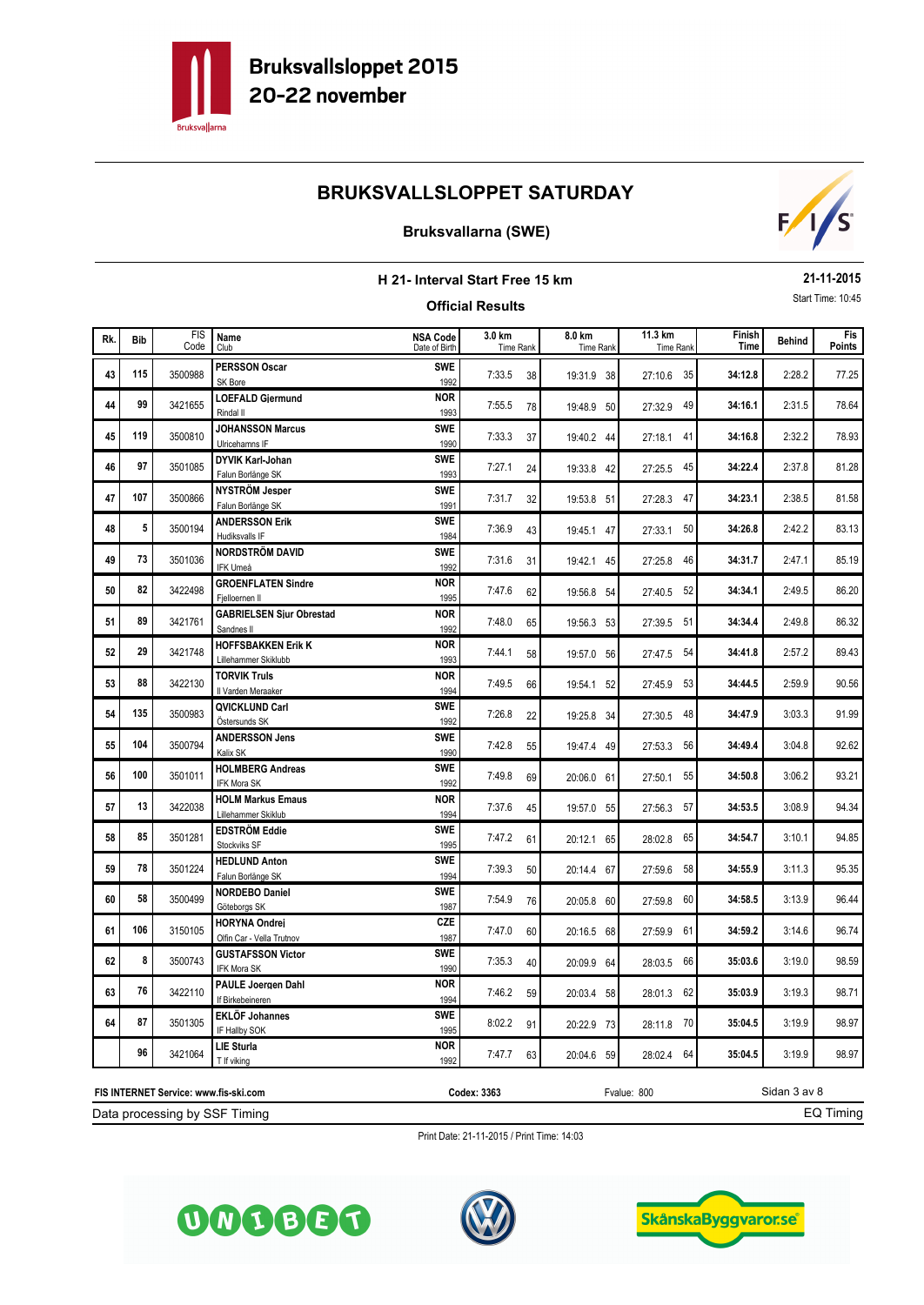

## **Bruksvallarna (SWE)**



| 21-11-2015<br>H 21- Interval Start Free 15 km |            |                    |                                                   |                                  |                            |    |                            |                             |                |               |                   |
|-----------------------------------------------|------------|--------------------|---------------------------------------------------|----------------------------------|----------------------------|----|----------------------------|-----------------------------|----------------|---------------|-------------------|
|                                               |            |                    |                                                   |                                  | <b>Official Results</b>    |    |                            |                             |                |               | Start Time: 10:45 |
| Rk.                                           | <b>Bib</b> | <b>FIS</b><br>Code | Name<br>Club                                      | <b>NSA Code</b><br>Date of Birth | 3.0 km<br><b>Time Rank</b> |    | 8.0 km<br><b>Time Rank</b> | 11.3 km<br><b>Time Rank</b> | Finish<br>Time | <b>Behind</b> | Fis<br>Points     |
| 43                                            | 115        | 3500988            | <b>PERSSON Oscar</b><br>SK Bore                   | <b>SWE</b><br>1992               | 7:33.5                     | 38 | 19:31.9 38                 | 27:10.6 35                  | 34:12.8        | 2:28.2        | 77.25             |
| 44                                            | 99         | 3421655            | <b>LOEFALD Gjermund</b><br>Rindal II              | <b>NOR</b><br>1993               | 7:55.5                     | 78 | 19:48.9 50                 | 27:32.9 49                  | 34:16.1        | 2:31.5        | 78.64             |
| 45                                            | 119        | 3500810            | <b>JOHANSSON Marcus</b><br>Ulricehamns IF         | <b>SWE</b><br>1990               | 7:33.3                     | 37 | 19:40.2 44                 | 27:18.1 41                  | 34:16.8        | 2:32.2        | 78.93             |
| 46                                            | 97         | 3501085            | DYVIK Karl-Johan<br>Falun Borlänge SK             | <b>SWE</b><br>1993               | 7:27.1                     | 24 | 19:33.8 42                 | 27:25.5 45                  | 34:22.4        | 2:37.8        | 81.28             |
| 47                                            | 107        | 3500866            | NYSTRÖM Jesper<br>Falun Borlänge SK               | <b>SWE</b><br>1991               | 7:31.7                     | 32 | 19:53.8 51                 | 27:28.3 47                  | 34:23.1        | 2:38.5        | 81.58             |
| 48                                            | 5          | 3500194            | <b>ANDERSSON Erik</b><br>Hudiksvalls IF           | <b>SWE</b><br>1984               | 7:36.9                     | 43 | 19:45.1 47                 | 27:33.1 50                  | 34:26.8        | 2:42.2        | 83.13             |
| 49                                            | 73         | 3501036            | <b>NORDSTRÖM DAVID</b><br>IFK Umeå                | <b>SWE</b><br>1992               | 7:31.6                     | 31 | 19:42.1 45                 | 27:25.8 46                  | 34:31.7        | 2:47.1        | 85.19             |
| 50                                            | 82         | 3422498            | <b>GROENFLATEN Sindre</b><br>Fielloernen II       | <b>NOR</b><br>1995               | 7:47.6                     | 62 | 19:56.8 54                 | 27:40.5 52                  | 34:34.1        | 2:49.5        | 86.20             |
| 51                                            | 89         | 3421761            | <b>GABRIELSEN Siur Obrestad</b><br>Sandnes II     | <b>NOR</b><br>1992               | 7:48.0                     | 65 | 19:56.3 53                 | 27:39.5 51                  | 34:34.4        | 2:49.8        | 86.32             |
| 52                                            | 29         | 3421748            | <b>HOFFSBAKKEN Erik K</b><br>Lillehammer Skiklubb | <b>NOR</b><br>1993               | 7:44.1                     | 58 | 19:57.0 56                 | 27:47.5 54                  | 34:41.8        | 2:57.2        | 89.43             |
| 53                                            | 88         | 3422130            | <b>TORVIK Truls</b><br>Il Varden Meraaker         | <b>NOR</b><br>1994               | 7:49.5                     | 66 | 19:54.1 52                 | 53<br>27:45.9               | 34:44.5        | 2:59.9        | 90.56             |
| 54                                            | 135        | 3500983            | <b>QVICKLUND Carl</b><br>Östersunds SK            | <b>SWE</b><br>1992               | 7:26.8                     | 22 | 19:25.8 34                 | - 48<br>27:30.5             | 34:47.9        | 3:03.3        | 91.99             |
| 55                                            | 104        | 3500794            | <b>ANDERSSON Jens</b><br>Kalix SK                 | <b>SWE</b><br>1990               | 7:42.8                     | 55 | 19:47.4 49                 | 27:53.3 56                  | 34:49.4        | 3:04.8        | 92.62             |
| 56                                            | 100        | 3501011            | <b>HOLMBERG Andreas</b><br>IFK Mora SK            | <b>SWE</b><br>1992               | 7:49.8                     | 69 | 20:06.0 61                 | 27:50.1 55                  | 34:50.8        | 3:06.2        | 93.21             |
| 57                                            | 13         | 3422038            | <b>HOLM Markus Emaus</b><br>Lillehammer Skiklub   | <b>NOR</b><br>1994               | 7:37.6                     | 45 | 19:57.0 55                 | 27:56.3 57                  | 34:53.5        | 3:08.9        | 94.34             |
| 58                                            | 85         | 3501281            | <b>EDSTRÖM Eddie</b><br>Stockviks SF              | <b>SWE</b><br>1995               | 7:47.2                     | 61 | 20:12.1 65                 | 28:02.8 65                  | 34:54.7        | 3:10.1        | 94.85             |
| 59                                            | 78         | 3501224            | <b>HEDLUND Anton</b><br>Falun Borlänge SK         | <b>SWE</b><br>1994               | 7:39.3                     | 50 | 20:14.4 67                 | 27:59.6 58                  | 34:55.9        | 3:11.3        | 95.35             |
| 60                                            | 58         | 3500499            | <b>NORDEBO Daniel</b><br>Göteborgs SK             | <b>SWE</b><br>1987               | 7:54.9                     | 76 | 20:05.8 60                 | 27:59.8 60                  | 34:58.5        | 3:13.9        | 96.44             |
| 61                                            | 106        | 3150105            | <b>HORYNA Ondrej</b><br>Olfin Car - Vella Trutnov | <b>CZE</b><br>1987               | 7:47.0                     | 60 | 20:16.5 68                 | 27:59.9 61                  | 34:59.2        | 3:14.6        | 96.74             |
| 62                                            | 8          | 3500743            | <b>GUSTAFSSON Victor</b><br>IFK Mora SK           | <b>SWE</b><br>1990               | 7:35.3                     | 40 | 20:09.9 64                 | 28:03.5 66                  | 35:03.6        | 3:19.0        | 98.59             |
| 63                                            | 76         | 3422110            | PAULE Joeraen Dahl<br>If Birkebeineren            | <b>NOR</b><br>1994               | 7:46.2                     | 59 | 20:03.4 58                 | 28:01.3 62                  | 35:03.9        | 3:19.3        | 98.71             |
| 64                                            | 87         | 3501305            | <b>EKLÖF Johannes</b><br>IF Hallby SOK            | <b>SWE</b><br>1995               | 8:02.2                     | 91 | 20:22.9 73                 | 28:11.8 70                  | 35:04.5        | 3:19.9        | 98.97             |
|                                               | 96         | 3421064            | <b>LIE Sturla</b><br>T If viking                  | <b>NOR</b><br>1992               | 7:47.7                     | 63 | 20:04.6 59                 | 28:02.4 64                  | 35:04.5        | 3:19.9        | 98.97             |

Print Date: 21-11-2015 / Print Time: 14:03

**Codex: 3363** Fvalue: 800



Data processing by SSF Timing **FIS INTERNET Service: www.fis-ski.com**





Sidan 3 av 8

EQ Timing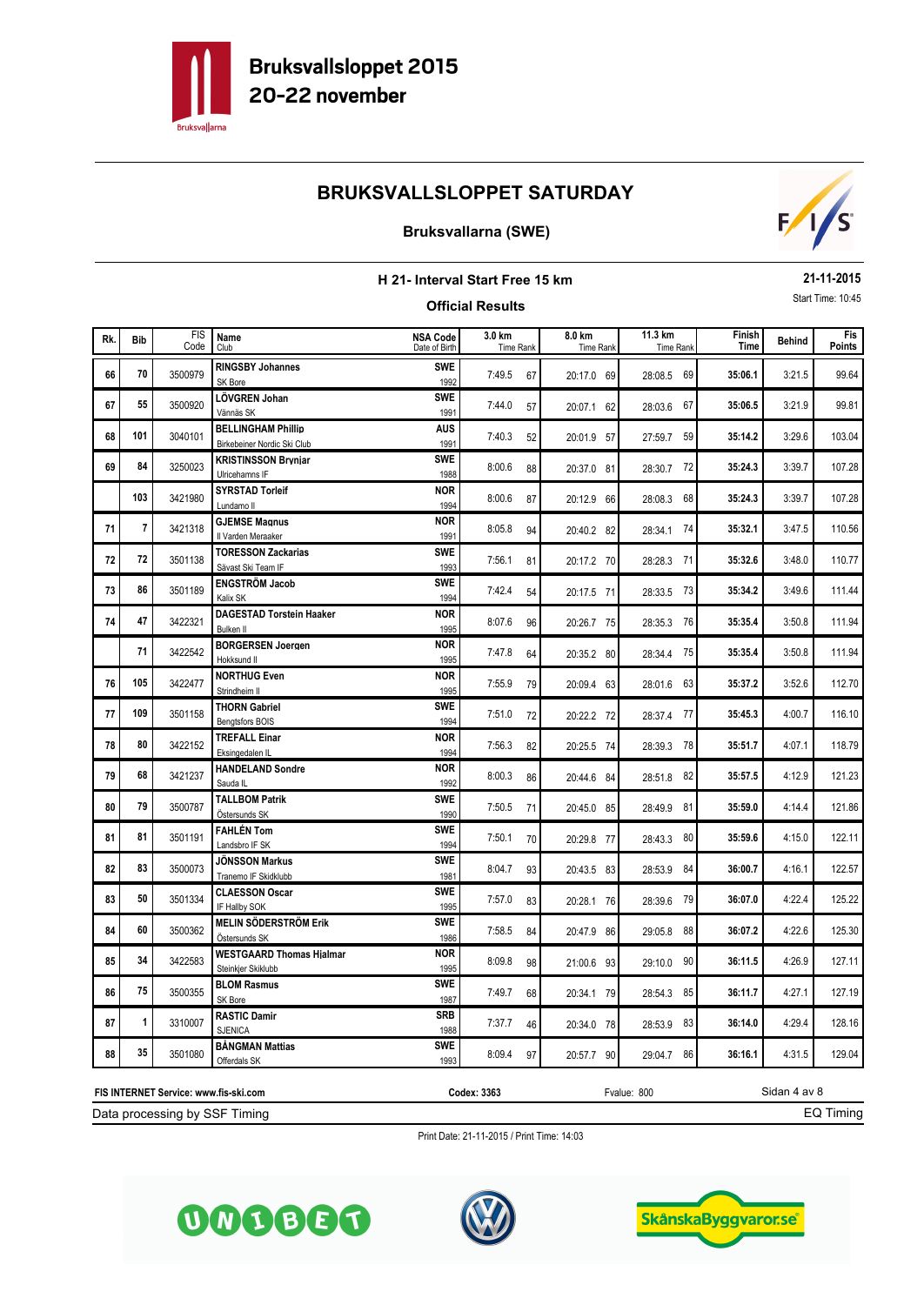

### **Bruksvallarna (SWE)**



#### **H 21- Interval Start Free 15 km Official Results 21-11-2015** Start Time: 10:45 **Behind B. Behind B. Behind B. Behind Example 11.3 km Finish Finish Behind Time** FIS Code Fis<br>Points Rk. Bib in the south and the subsequence of the subsequence of the subsequence of the subsequence of the subsequence of the subsequence of the subsequence of the subsequence of the subsequence of the subsequence of the sub Club Time Rank **Bib 3.0 km 8.0 km 11.3 km** Date of Birth Time Rank Time Rank Time Rank Time Rank **NSA Code** 3:21.5 **RINGSBY Johannes 66** <sup>3500979</sup> 7:49.5 67 **35:06.1** 99.64 **70** 3500979 **RINGSBY Johannes SWE** 7:49.5 67 20:17.0 69 28:08.5 69 3:21.9 **LÖVGREN Johan 67** <sup>3500920</sup> 7:44.0 57 **35:06.5** 99.81 **SWE <sup>55</sup>** 20:07.1 62 28:03.6 67 Vännäs SK <sup>1991</sup> 3:29.6 **BELLINGHAM Phillip 68** <sup>3040101</sup> 7:40.3 52 **35:14.2** 103.04 **4US 101 20:01.9 101 BELLINGHAM Phillip**<br>1991 **1991** 7:40.3 52 20:01.9 57 27:59.7 59 3:39.7 **KRISTINSSON Brynjar 69** <sup>3250023</sup> 8:00.6 88 **35:24.3** 107.28 **84** 3250023 **KRISTINSSON Bryniar 1988 8:00.6** 88 20:37.0 81 28:30.7 72 3:39.7 **SYRSTAD Torleif** <sup>3421980</sup> 8:00.6 87 **35:24.3** 107.28 **103** 3421980 **SYRSTAD Torleif NOR** 8:00.6 87 20:12.9 66 28:08.3 68 3:47.5 **GJEMSE Magnus 71** <sup>3421318</sup> 8:05.8 94 **35:32.1** 110.56 **NOR** 3421318 **GJEMSE Magnus**<br>
1991 8:05.8 94 20:40.2 82 28:34.1 74 3:48.0 **TORESSON Zackarias 72** <sup>3501138</sup> 7:56.1 81 **35:32.6** 110.77 **TORESSON Zackarias**<br> **SWE** 7:56.1 81 20:17.2 70 28:28.3 71 28:28.3 71 AVG 7:56.1 81 20:17.2 70 28:28.3 71 3:49.6 **ENGSTRÖM Jacob 73** <sup>3501189</sup> 7:42.4 54 **35:34.2** 111.44 **86** 3501189 **ENGSTRÖM Jacob SWE** 7:42.4 54 20:17.5 71 28:33.5 73 **74 47** 3422321 **DAGESTAD Torstein Haaker NOR** 8:07.6 96 20:26.7 75 28:35.3 76 35:35.4 3:50.8 111.94 **47 122321 DAGESTAD Torstein Haaker 128:35.3 76 1995 28:07.6 96 20:26.7 75 28:35.3 76**  3:50.8 **BORGERSEN Joergen** <sup>3422542</sup> 7:47.8 64 **35:35.4** 111.94 **71** 20:3542 **BORGERSEN Joergen 11 NOR** 7:47.8 64 20:35.2 80 28:34.4 75 3:52.6 **NORTHUG Even 76** <sup>3422477</sup> 7:55.9 79 **35:37.2** 112.70 **105** 20:09.4 **NORTHUG Even NOR NOR** 7:55.9 79 20:09.4 63 28:01.6 63 4:00.7 **THORN Gabriel 77** <sup>3501158</sup> 7:51.0 72 **35:45.3** 116.10 **SWE <sup>109</sup>** 20:22.2 72 28:37.4 77 Bengtsfors BOIS <sup>1994</sup> 4:07.1 **TREFALL Einar 78** <sup>3422152</sup> 7:56.3 82 **35:51.7** 118.79 **80** 3422152 **TREFALL Einar 188 COR NOR** 7:56.3 82 20:25.5 74 28:39.3 78 79 68 3421237 **HANDELAND Sondre NOR** 8:00.3 86 20:44.6 84 28:51.8 82 35:57.5 4:12.9 121.23 **68** 3421237 **HANDELAND Sondre NOR 68** 8:00.3 86 20:44.6 84 28:51.8 82 80 79 3500787 **TALLBOM Patrik 800 800 800 800 7:50.5 71** 20:45.0 85 28:49.9 81 35:59.0 4:14.4 121.86 **SWE <sup>79</sup>** 20:45.0 85 28:49.9 81 Östersunds SK <sup>1990</sup> 81 81 3501191 **FAHLÉN Tom** 8WE 7:50.1 70 20:29.8 77 28:43.3 80 35:59.6 4:15.0 122.11 **81 81 81 82:43.3 80 81 82:43.3 80 81 82:43.3 80 81 82:43.3 80 81 81:50.1 82:43.3 80 81:50.1 82:43.3 80 82 83** 3500073 JÖNSSON Markus **82** SWE 8:04.7 93 20:43.5 83 28:53.9 84 36:00.7 4:16.1 122.57 **83** 3500073 JÖNSSON Markus<br>1981 8:04.7 93 20:43.5 83 28:53.9 84 **83 50** 3501334 CLAESSON Oscar **8WE** 7:57.0 83 20:28.1 76 28:39.6 79 36:07.0 4:22.4 125.22 **SWE <sup>50</sup>** 20:28.1 76 28:39.6 79 IF Hallby SOK <sup>1995</sup> 84 60 3500362 MELIN SÖDERSTRÖM Erik **SWE** 7:58.5 84 20:47.9 86 29:05.8 88 36:07.2 4:22.6 125.30 **SWE 60** 3500362 MELIN SÖDERSTRÖM Erik **SWE** 7:58.5 84 20:47.9 86 29:05.8 88 85 34 3422583 WESTGAARD Thomas Hialmar **NOR** 8:09.8 98 21:00.6 93 29:10.0 90 36:11.5 4:26.9 127.11 **14** 3422583 WESTGAARD Thomas Hialmar **NOR** 8:09.8 98 21:00.6 93 29:10.0 90 4:27.1 **BLOM Rasmus 86** <sup>3500355</sup> 7:49.7 68 **36:11.7** 127.19 **75** 3500355 **BLOM Rasmus SWE** 7:49.7 68 20:34.1 79 28:54.3 85 87 1 3310007 **RASTIC Damir** 8 **RB** 3310007 **RASTIC Damir** 87.16 **SRB** 36:57.7 46 20:34.0 78 28:53.9 83 36:14.0 4:29.4 128.16 **SRB** 7:37.7 46 20:34.0 78 28:53.9 83<br>1988 7:37.7 46 20:34.0 78 28:53.9 83 88 35 3501080 **BÅNGMAN Mattias 68 88 89 8:09.4 97** 30:57.7 90 29:04.7 86 36:16.1 4:31.5 129.04 **SWE** 2501080 **BANGMAN Mattias**<br>1993 8:09.4 97 20:57.7 90 29:04.7 86

Data processing by SSF Timing **FIS INTERNET Service: www.fis-ski.com**

**Codex: 3363** Fvalue: 800

EQ Timing

Sidan 4 av 8





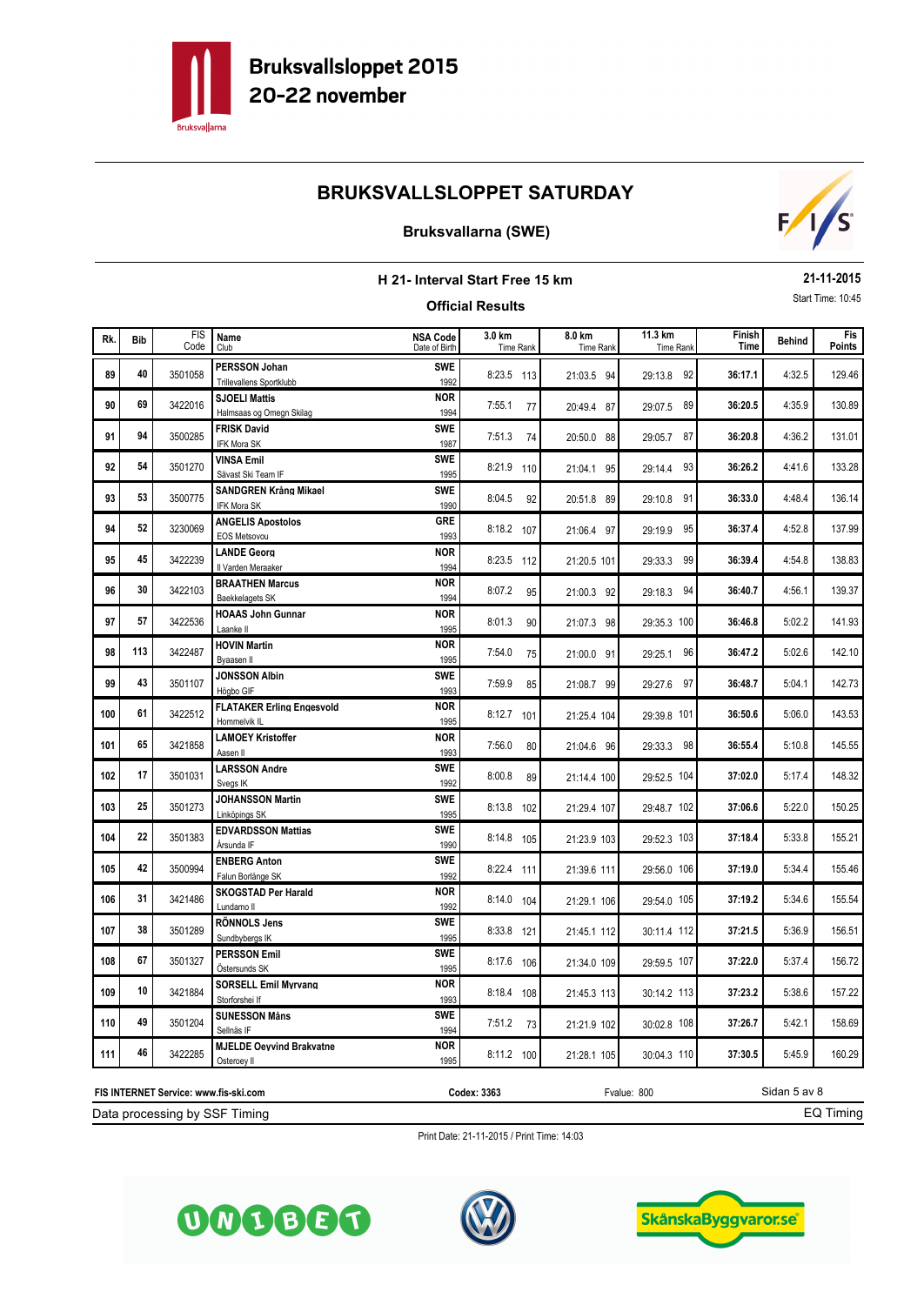

## **Bruksvallarna (SWE)**



#### **H 21- Interval Start Free 15 km Official Results 21-11-2015** Start Time: 10:45 **Behind B. Behind B. Behind B. Behind Example 11.3 km Finish Finish Behind Time** FIS Code Fis<br>Points Rk. Bib in the south and the subsequence of the subsequence of the subsequence of the subsequence of the subsequence of the subsequence of the subsequence of the subsequence of the subsequence of the subsequence of the sub Club Time Rank **Bib 3.0 km 8.0 km 11.3 km** Date of Birth Time Rank Time Rank Time Rank Time Rank **NSA Code** 89 40 3501058 PERSSON Johan **SWE** 8:23.5 113 21:03.5 94 29:13.8 92 36:17.1 4:32.5 129.46 **40** 3501058 **PERSSON Johan SWE** 8:23.5 113 21:03.5 94 29:13.8 92<br>1992 8:23.5 113 4:35.9 **SJOELI Mattis 90** <sup>3422016</sup> 7:55.1 77 **36:20.5** 130.89 **69** 3422016 **SJOELI Mattis**<br> **69** 3422016 Halmsaas og Omegn Skilag 1994 7:55.1 77 20:49.4 87 29:07.5 89 4:36.2 **FRISK David 91** <sup>3500285</sup> 7:51.3 74 **36:20.8** 131.01 **94** 3500285 **FRISK David**<br>1987 7:51.3 74 20:50.0 88 29:05.7 87 **92 54** 3501270 **VINSA Emil 133.28 SWE** 8:21.9 110 21:04.1 95 29:14.4 93 **36:26.2** 4:41.6 133.28 **SWE** 2501270 **VINSA Emil Finally Sweet SWE** 8:21.9 110 21:04.1 95 29:14.4 93 93 53 3500775 SANDGREN Krång Mikael **SWE** 8:04.5 92 20:51.8 89 29:10.8 91 36:33.0 4:48.4 136.14 **SWE <sup>53</sup>** 20:51.8 89 29:10.8 91 IFK Mora SK <sup>1990</sup> 4:52.8 **ANGELIS Apostolos 94** <sup>3230069</sup> 8:18.2 <sup>107</sup> **36:37.4** 137.99 **52** 3230069 **ANGELIS Apostolos**<br> **GRE** 8:18.2 107 21:06.4 97 29:19.9 95 **95** 45 3422239 LANDE Georg **138.83 NOR** 8:23.5 112 21:20.5 101 29:33.3 99 36:39.4 4:54.8 138.83 **45** 3422239 **LANDE Georg 1 100R 8:23.5 112** 21:20.5 101 29:33.3 99 **96** 30 3422103 BRAATHEN Marcus **100R** 8:07.2 95 21:00.3 92 29:18.3 94 36:40.7 4:56.1 139.37 **30** 3422103 BRAATHEN Marcus **1994** 8:07.2 95 21:00.3 92 29:18.3 94 **97 57** 3422536 **HOAAS John Gunnar 18th Cunnar 1990 8:01.3 90 21:07.3 98 29:35.3 100 36:46.8 5:02.2** 141.93 **57** 3422536 **HOAAS John Gunnar 1888 10th Cunnar NOR** 8:01.3 90 21:07.3 98 29:35.3 100 **98 113 3422487 HOVIN Martin 12.10 NOR 7:54.0 75 21:00.0 91 29:25.1 96 36:47.2 5:02.6 142.10 113** 3422487 **HOVIN Martin**<br>**113** 3422487 **Byaasen Il 1995** 1995 7:54.0 75 21:00.0 91 29:25.1 96 **99** 43 3501107 JONSSON Albin **SWE** 7:59.9 85 21:08.7 99 29:27.6 97 36:48.7 5:04.1 142.73 **43** 3501107 JONSSON Albin **1993** 29:59.9 85 21:08.7 99 29:27.6 97 5:06.0 **FLATAKER Erling Engesvold <sup>100</sup>** <sup>3422512</sup> 8:12.7 <sup>101</sup> **36:50.6** 143.53 **61** 3422512 **FLATAKER Erling Engesvold NOR** 8:12.7 101 21:25.4 104 29:39.8 101 5:10.8 **LAMOEY Kristoffer <sup>101</sup>** <sup>3421858</sup> 7:56.0 80 **36:55.4** 145.55 **65** 3421858 **LAMOEY Kristoffer 18 1993** 1:56.0 80 21:04.6 96 29:33.3 98 5:17.4 **LARSSON Andre <sup>102</sup>** <sup>3501031</sup> 8:00.8 89 **37:02.0** 148.32 **SWE** 2501031 **LARSSON Andre 17 SWE** 21:14.4 100 29:52.5 104 5:22.0 **JOHANSSON Martin <sup>103</sup>** <sup>3501273</sup> 8:13.8 <sup>102</sup> **37:06.6** 150.25 **25** 25 2501273 JOHANSSON Martin **1995 SWE** 8:13.8 102 21:29.4 107 29:48.7 102 104 22 3501383 EDVARDSSON Mattias **105 SWE** 8:14.8 105 21:23.9 103 29:52.3 103 37:18.4 5:33.8 155.21 **22** 3501383 **EDVARDSSON Mattias 103 SWE** 8:14.8 105 21:23.9 103 29:52.3 103 5:34.4 **ENBERG Anton <sup>105</sup>** <sup>3500994</sup> 8:22.4 <sup>111</sup> **37:19.0** 155.46 **42** 3500994 **ENBERG Anton**<br>1992 8:22.4 111 21:39.6 111 29:56.0 106 1992 8:22.4 111 5:34.6 **SKOGSTAD Per Harald <sup>106</sup>** <sup>3421486</sup> 8:14.0 <sup>104</sup> **37:19.2** 155.54 **31** 3421486 **SKOGSTAD Per Harald NOR** 8:14.0 104 21:29.1 106 29:54.0 105 5:36.9 **RÖNNOLS Jens <sup>107</sup>** <sup>3501289</sup> 8:33.8 <sup>121</sup> **37:21.5** 156.51 **SWE 38 3801289 RÖNNOLS Jens SWE 8:33.8 121 21:45.1 112 30:11.4 112** 108 67 3501327 **PERSSON Emil 108** SWE 8:17.6 106 21:34.0 109 29:59.5 107 37:22.0 5:37.4 156.72 **67** 3501327 **PERSSON Emil 67 SWE** 8:17.6 106 21:34.0 109 29:59.5 107 5:38.6 **SORSELL Emil Myrvang <sup>109</sup>** <sup>3421884</sup> 8:18.4 <sup>108</sup> **37:23.2** 157.22 **10** 3421884 SORSELL Emil Mvrvang<br>
1993 8:18.4 108 21:45.3 113 30:14.2 113 5:42.1 **SUNESSON Måns <sup>110</sup>** <sup>3501204</sup> 7:51.2 73 **37:26.7** 158.69 **49** 3501204 SUNESSON Måns<br> **SWE** 7:51.2 73 21:21.9 102 30:02.8 108 111 46 3422285 MJELDE Oevvind Brakvatne<br>111 46 3422285 **MJELDE Oevvind Brakvatne 100 1211.2 100** 21:28.1 105 30:04.3 110 37:30.5 5:45.9 160.29 **46** 3422285 **MJELDE Oevvind Brakvatne NOR** 8:11.2 100 21:28.1 105 30:04.3 110

Data processing by SSF Timing

OMOBOG

**FIS INTERNET Service: www.fis-ski.com**

Print Date: 21-11-2015 / Print Time: 14:03

**Codex: 3363** Fvalue: 800





Sidan 5 av 8

EQ Timing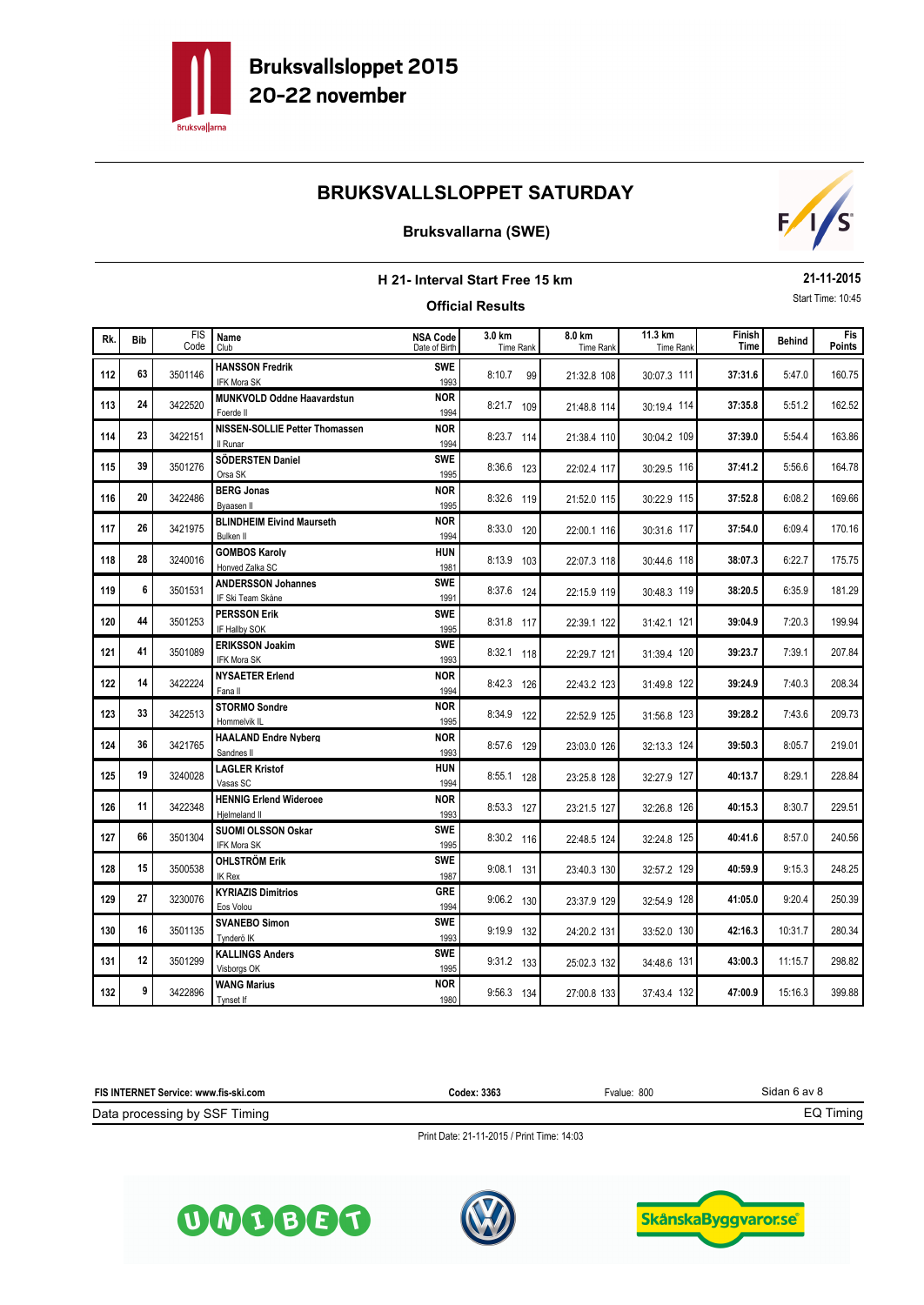

## **Bruksvallarna (SWE)**



#### **H 21- Interval Start Free 15 km Official Results 21-11-2015** Start Time: 10:45 **Behind B. Behind B. Behind B. Behind Example 11.3 km Finish Finish Behind Time** FIS Code Fis<br>Points Rk. Bib in the south and the subsequence of the subsequence of the subsequence of the subsequence of the subsequence of the subsequence of the subsequence of the subsequence of the subsequence of the subsequence of the sub Club Time Rank **Bib 3.0 km 8.0 km 11.3 km** Date of Birth Time Rank Time Rank Time Rank Time Rank **NSA Code** 5:47.0 **HANSSON Fredrik <sup>112</sup>** <sup>3501146</sup> 8:10.7 99 **37:31.6** 160.75 **63** 3501146 **HANSSON Fredrik SWE** 8:10.7 99 21:32.8 108 30:07.3 111 113 24 3422520 MUNKVOLD Oddne Haavardstun<br>113 21:48.8 114 30:19.4 114 37:35.8 5:51.2 162.52 **24** 3422520 **MUNKVOLD Oddne Haavardstun NOR** 8:21.7 109 21:48.8 114 30:19.4 114 **114** 23 3422151 NISSEN-SOLLIE Petter Thomassen **NOR** 8:23.7 114 21:38.4 110 30:04.2 109 37:39.0 5:54.4 163.86 5:56.6 **SÖDERSTEN Daniel <sup>115</sup>** <sup>3501276</sup> 8:36.6 <sup>123</sup> **37:41.2** 164.78 **SWE <sup>39</sup>** 22:02.4 <sup>117</sup> 30:29.5 <sup>116</sup> Orsa SK <sup>1995</sup> 6:08.2 **BERG Jonas <sup>116</sup>** <sup>3422486</sup> 8:32.6 <sup>119</sup> **37:52.8** 169.66 **20** 3422486 **BERG Jonas 115 20 20 21:52.0 115 21:52.0 115 20:22.9 115**  6:09.4 **BLINDHEIM Eivind Maurseth <sup>117</sup>** <sup>3421975</sup> 8:33.0 <sup>120</sup> **37:54.0** 170.16 **26** 3421975 **BLINDHEIM Eivind Maurseth NOR** 8:33.0 120 22:00.1 116 30:31.6 117 6:22.7 **GOMBOS Karoly <sup>118</sup>** <sup>3240016</sup> 8:13.9 <sup>103</sup> **38:07.3** 175.75 **HUN <sup>28</sup>** 22:07.3 <sup>118</sup> 30:44.6 <sup>118</sup> Honved Zalka SC <sup>1981</sup> 6:35.9 **ANDERSSON Johannes <sup>119</sup>** <sup>3501531</sup> 8:37.6 <sup>124</sup> **38:20.5** 181.29 **SWE** 3501531 **ANDERSSON Johannes SWE** 8:37.6 124 22:15.9 119 30:48.3 119 7:20.3 **PERSSON Erik <sup>120</sup>** <sup>3501253</sup> 8:31.8 <sup>117</sup> **39:04.9** 199.94 **44** 3501253 **PERSSON Erik SWE** 8:31.8 117 22:39.1 122 31:42.1 121 7:39.1 **ERIKSSON Joakim <sup>121</sup>** <sup>3501089</sup> 8:32.1 <sup>118</sup> **39:23.7** 207.84 **41 3501089 ERIKSSON Joakim SWE** 8:32.1 118 22:29.7 121 31:39.4 120 122 14 3422224 **NYSAETER Erlend 122 NOR** 8:42.3 126 22:43.2 123 31:49.8 122 39:24.9 7:40.3 208.34 **14 14 NOR 14 22:43.2 123 128 128 129 14 14 14 14 14 14 122 123 128 128 122 123 128 129 129 129 129 129 129 129 129 129 129 129 129 129 129 129 129** 123 33 3422513 STORMO Sondre<br>123 31:56.8 123 39:28.2 7:43.6 209.73 **33** 3422513 **STORMO Sondre 120 120 126 126 127 128 1295** 8:34.9 122 22:52.9 125 31:56.8 123 124 36 3421765 **HAALAND Endre Nyberg 124 125.7.6 129** 23:03.0 126 32:13.3 124 39:50.3 8:05.7 219.01 **36** 3421765 **HAALAND Endre Nyberg 1888 1898 1898 1898 1898 1899 18:57.6** 129 23:03.0 126 32:13.3 124 8:29.1 **LAGLER Kristof <sup>125</sup>** <sup>3240028</sup> 8:55.1 <sup>128</sup> **40:13.7** 228.84 **HUN <sup>19</sup>** 23:25.8 <sup>128</sup> 32:27.9 <sup>127</sup> Vasas SC <sup>1994</sup> 126 11 3422348 HENNIG Erlend Wideroee **126 NOR** 8:53.3 127 23:21.5 127 32:26.8 126 40:15.3 8:30.7 229.51 **11** 2422348 **HENNIG Erlend Wideroee NOR** 8:53.3 127 23:21.5 127 32:26.8 126 8:57.0 **SUOMI OLSSON Oskar <sup>127</sup>** <sup>3501304</sup> 8:30.2 <sup>116</sup> **40:41.6** 240.56 **66** 3501304 **SUOMI OLSSON Oskar SWE** 8:30.2 116 22:48.5 124 32:24.8 125 9:15.3 **OHLSTRÖM Erik <sup>128</sup>** <sup>3500538</sup> 9:08.1 <sup>131</sup> **40:59.9** 248.25 **SWE 15** 3500538 **OHLSTRÖM Erik 15 SWE** 9:08.1 131 23:40.3 130 32:57.2 129 129 27 3230076 **KYRIAZIS Dimitrios 129 129** 9:06.2 130 23:37.9 129 32:54.9 128 41:05.0 9:20.4 250.39 **27** 3230076 **KYRIAZIS Dimitrios CRE** 9:06.2 130 23:37.9 129 32:54.9 128 10:31.7 **SVANEBO Simon <sup>130</sup>** <sup>3501135</sup> 9:19.9 <sup>132</sup> **42:16.3** 280.34 **SWE <sup>16</sup>** 24:20.2 <sup>131</sup> 33:52.0 <sup>130</sup> Tynderö IK <sup>1993</sup> 131 12 3501299 **KALLINGS Anders 131 SWE** 9:31.2 133 25:02.3 132 34:48.6 131 13:00.3 11:15.7 298.82 **SWE 12** 3501299 **KALLINGS Anders SWE** 9:31.2 133 25:02.3 132 34:48.6 131 15:16.3 **WANG Marius <sup>132</sup>** <sup>3422896</sup> 9:56.3 <sup>134</sup> **47:00.9** 399.88 **9** 3422896 **WANG Marius NOR** 9:56.3 134 27:00.8 133 37:43.4 132

| FIS INTERNET Service: www.fis-ski.com | Codex: 3363 | Fvalue: 800 | Sidan 6 av 8 |
|---------------------------------------|-------------|-------------|--------------|
| Data processing by SSF<br>Fimino      |             |             | i iming      |





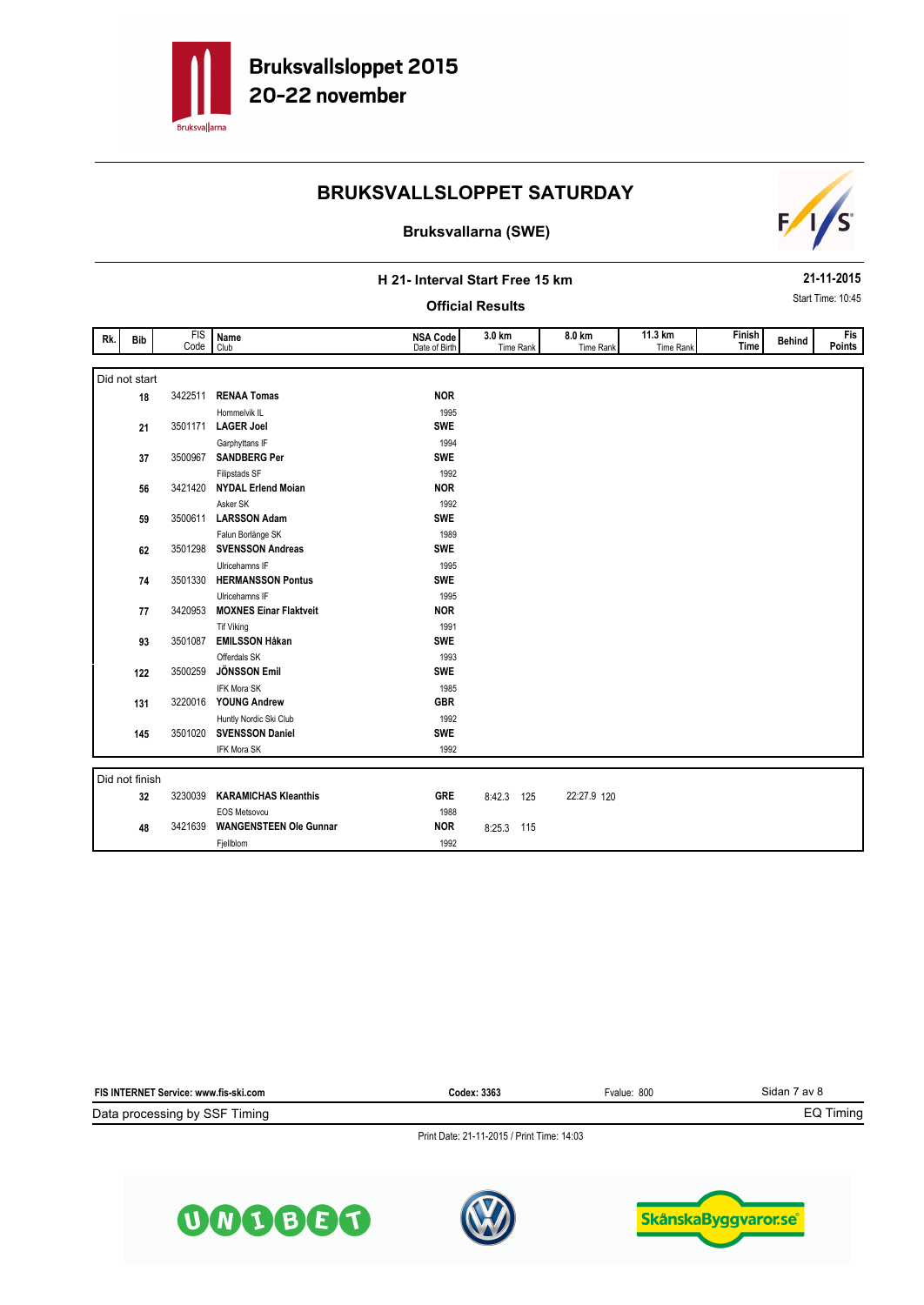

#### **Bruksvallarna (SWE)**



#### **H 21- Interval Start Free 15 km**

#### **Official Results**

**21-11-2015** Start Time: 10:45

| Rk. | Bib          | <b>FIS</b><br>Code | Name<br>Club              | <b>NSA Code</b><br>Date of Birth | 3.0 km<br>Time Rank | 8.0 km<br>Time Rank | 11.3 km<br>Time Rank | Finish<br><b>Time</b> | <b>Behind</b> | Fis<br>Points |
|-----|--------------|--------------------|---------------------------|----------------------------------|---------------------|---------------------|----------------------|-----------------------|---------------|---------------|
|     |              |                    |                           |                                  |                     |                     |                      |                       |               |               |
|     | id not start |                    |                           |                                  |                     |                     |                      |                       |               |               |
|     | 18           | 3422511            | <b>RENAA Tomas</b>        | <b>NOR</b>                       |                     |                     |                      |                       |               |               |
|     |              |                    | Hommelvik IL              | 1995                             |                     |                     |                      |                       |               |               |
|     | 21           | 3501171            | <b>LAGER Joel</b>         | <b>SWE</b>                       |                     |                     |                      |                       |               |               |
|     |              |                    | Garphyttans IF            | 1994                             |                     |                     |                      |                       |               |               |
|     | 37           | 3500967            | <b>SANDBERG Per</b>       | <b>SWE</b>                       |                     |                     |                      |                       |               |               |
|     |              |                    | Filipstads SF             | 1992                             |                     |                     |                      |                       |               |               |
|     | 56           | 3421420            | <b>NYDAL Erlend Moian</b> | <b>NOR</b>                       |                     |                     |                      |                       |               |               |
|     |              |                    | Asker SK                  | 1992                             |                     |                     |                      |                       |               |               |
|     |              |                    |                           |                                  |                     |                     |                      |                       |               |               |

| Did not start  |         |                               |            |            |     |             |  |  |
|----------------|---------|-------------------------------|------------|------------|-----|-------------|--|--|
| 18             | 3422511 | <b>RENAA Tomas</b>            | <b>NOR</b> |            |     |             |  |  |
|                |         | Hommelvik IL                  | 1995       |            |     |             |  |  |
| 21             | 3501171 | <b>LAGER Joel</b>             | <b>SWE</b> |            |     |             |  |  |
|                |         | Garphyttans IF                | 1994       |            |     |             |  |  |
| 37             | 3500967 | <b>SANDBERG Per</b>           | <b>SWE</b> |            |     |             |  |  |
|                |         | Filipstads SF                 | 1992       |            |     |             |  |  |
| 56             | 3421420 | <b>NYDAL Erlend Moian</b>     | <b>NOR</b> |            |     |             |  |  |
|                |         | Asker SK                      | 1992       |            |     |             |  |  |
| 59             | 3500611 | <b>LARSSON Adam</b>           | <b>SWE</b> |            |     |             |  |  |
|                |         | Falun Borlänge SK             | 1989       |            |     |             |  |  |
| 62             | 3501298 | <b>SVENSSON Andreas</b>       | <b>SWE</b> |            |     |             |  |  |
|                |         | Ulricehamns IF                | 1995       |            |     |             |  |  |
| 74             | 3501330 | <b>HERMANSSON Pontus</b>      | <b>SWE</b> |            |     |             |  |  |
|                |         | Ulricehamns IF                | 1995       |            |     |             |  |  |
| 77             | 3420953 | <b>MOXNES Einar Flaktveit</b> | <b>NOR</b> |            |     |             |  |  |
|                |         | <b>Tif Viking</b>             | 1991       |            |     |             |  |  |
| 93             | 3501087 | <b>EMILSSON Håkan</b>         | <b>SWE</b> |            |     |             |  |  |
|                |         | Offerdals SK                  | 1993       |            |     |             |  |  |
| 122            | 3500259 | <b>JÖNSSON Emil</b>           | <b>SWE</b> |            |     |             |  |  |
|                |         | <b>IFK Mora SK</b>            | 1985       |            |     |             |  |  |
| 131            | 3220016 | <b>YOUNG Andrew</b>           | <b>GBR</b> |            |     |             |  |  |
|                |         | Huntly Nordic Ski Club        | 1992       |            |     |             |  |  |
| 145            | 3501020 | <b>SVENSSON Daniel</b>        | <b>SWE</b> |            |     |             |  |  |
|                |         | IFK Mora SK                   | 1992       |            |     |             |  |  |
|                |         |                               |            |            |     |             |  |  |
| Did not finish |         |                               |            |            |     |             |  |  |
| 32             | 3230039 | <b>KARAMICHAS Kleanthis</b>   | <b>GRE</b> | 8:42.3 125 |     | 22:27.9 120 |  |  |
|                |         | <b>EOS Metsovou</b>           | 1988       |            |     |             |  |  |
| 48             | 3421639 | <b>WANGENSTEEN Ole Gunnar</b> | <b>NOR</b> | 8:25.3     | 115 |             |  |  |
|                |         | Fjellblom                     | 1992       |            |     |             |  |  |